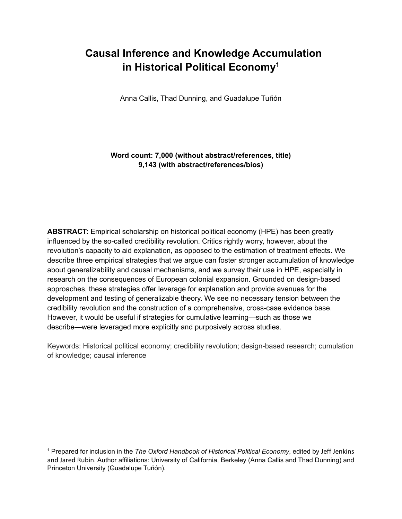# **Causal Inference and Knowledge Accumulation in Historical Political Economy 1**

Anna Callis, Thad Dunning, and Guadalupe Tuñón

# **Word count: 7,000 (without abstract/references, title) 9,143 (with abstract/references/bios)**

**ABSTRACT:** Empirical scholarship on historical political economy (HPE) has been greatly influenced by the so-called credibility revolution. Critics rightly worry, however, about the revolution's capacity to aid explanation, as opposed to the estimation of treatment effects. We describe three empirical strategies that we argue can foster stronger accumulation of knowledge about generalizability and causal mechanisms, and we survey their use in HPE, especially in research on the consequences of European colonial expansion. Grounded on design-based approaches, these strategies offer leverage for explanation and provide avenues for the development and testing of generalizable theory. We see no necessary tension between the credibility revolution and the construction of a comprehensive, cross-case evidence base. However, it would be useful if strategies for cumulative learning—such as those we describe—were leveraged more explicitly and purposively across studies.

Keywords: Historical political economy; credibility revolution; design-based research; cumulation of knowledge; causal inference

<sup>1</sup> Prepared for inclusion in the *The Oxford Handbook of Historical Political Economy*, edited by Jeff Jenkins and Jared Rubin. Author affiliations: University of California, Berkeley (Anna Callis and Thad Dunning) and Princeton University (Guadalupe Tuñón).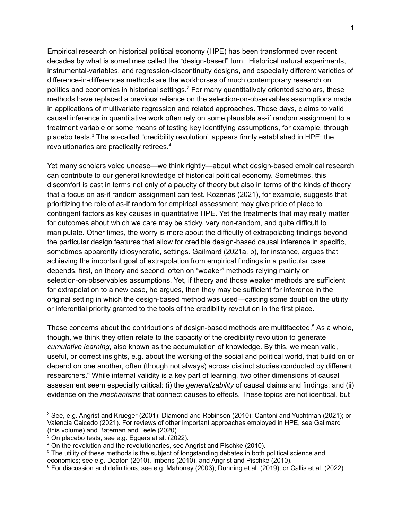Empirical research on historical political economy (HPE) has been transformed over recent decades by what is sometimes called the "design-based" turn. Historical natural experiments, instrumental-variables, and regression-discontinuity designs, and especially different varieties of difference-in-differences methods are the workhorses of much contemporary research on politics and economics in historical settings. <sup>2</sup> For many quantitatively oriented scholars, these methods have replaced a previous reliance on the selection-on-observables assumptions made in applications of multivariate regression and related approaches. These days, claims to valid causal inference in quantitative work often rely on some plausible as-if random assignment to a treatment variable or some means of testing key identifying assumptions, for example, through placebo tests.<sup>3</sup> The so-called "credibility revolution" appears firmly established in HPE: the revolutionaries are practically retirees. 4

Yet many scholars voice unease—we think rightly—about what design-based empirical research can contribute to our general knowledge of historical political economy. Sometimes, this discomfort is cast in terms not only of a paucity of theory but also in terms of the kinds of theory that a focus on as-if random assignment can test. Rozenas (2021), for example, suggests that prioritizing the role of as-if random for empirical assessment may give pride of place to contingent factors as key causes in quantitative HPE. Yet the treatments that may really matter for outcomes about which we care may be sticky, very non-random, and quite difficult to manipulate. Other times, the worry is more about the difficulty of extrapolating findings beyond the particular design features that allow for credible design-based causal inference in specific, sometimes apparently idiosyncratic, settings. Gailmard (2021a, b), for instance, argues that achieving the important goal of extrapolation from empirical findings in a particular case depends, first, on theory and second, often on "weaker" methods relying mainly on selection-on-observables assumptions. Yet, if theory and those weaker methods are sufficient for extrapolation to a new case, he argues, then they may be sufficient for inference in the original setting in which the design-based method was used—casting some doubt on the utility or inferential priority granted to the tools of the credibility revolution in the first place.

These concerns about the contributions of design-based methods are multifaceted.<sup>5</sup> As a whole, though, we think they often relate to the capacity of the credibility revolution to generate *cumulative learning*, also known as the accumulation of knowledge. By this, we mean valid, useful, or correct insights, e.g. about the working of the social and political world, that build on or depend on one another, often (though not always) across distinct studies conducted by different researchers.<sup>6</sup> While internal validity is a key part of learning, two other dimensions of causal assessment seem especially critical: (i) the *generalizability* of causal claims and findings; and (ii) evidence on the *mechanisms* that connect causes to effects. These topics are not identical, but

<sup>&</sup>lt;sup>2</sup> See, e.g. Angrist and Krueger (2001); Diamond and Robinson (2010); Cantoni and Yuchtman (2021); or Valencia Caicedo (2021). For reviews of other important approaches employed in HPE, see Gailmard (this volume) and Bateman and Teele (2020).

<sup>3</sup> On placebo tests, see e.g. Eggers et al. (2022).

<sup>4</sup> On the revolution and the revolutionaries, see Angrist and Pischke (2010).

<sup>&</sup>lt;sup>5</sup> The utility of these methods is the subject of longstanding debates in both political science and economics; see e.g. Deaton (2010), Imbens (2010), and Angrist and Pischke (2010).

 $6$  For discussion and definitions, see e.g. Mahoney (2003); Dunning et al. (2019); or Callis et al. (2022).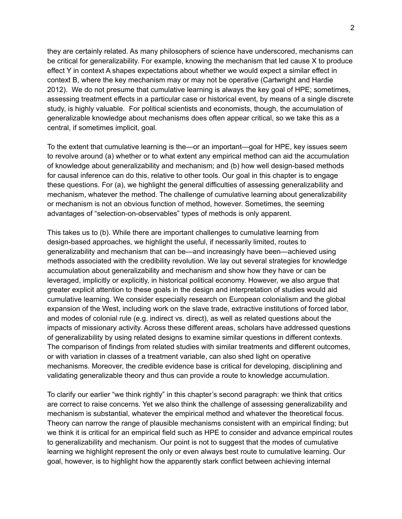they are certainly related. As many philosophers of science have underscored, mechanisms can be critical for generalizability. For example, knowing the mechanism that led cause X to produce effect Y in context A shapes expectations about whether we would expect a similar effect in context B, where the key mechanism may or may not be operative (Cartwright and Hardie 2012). We do not presume that cumulative learning is always the key goal of HPE; sometimes, assessing treatment effects in a particular case or historical event, by means of a single discrete study, is highly valuable. For political scientists and economists, though, the accumulation of generalizable knowledge about mechanisms does often appear critical, so we take this as a central, if sometimes implicit, goal.

To the extent that cumulative learning is the—or an important—goal for HPE, key issues seem to revolve around (a) whether or to what extent any empirical method can aid the accumulation of knowledge about generalizability and mechanism; and (b) how well design-based methods for causal inference can do this, relative to other tools. Our goal in this chapter is to engage these questions. For (a), we highlight the general difficulties of assessing generalizability and mechanism, whatever the method. The challenge of cumulative learning about generalizability or mechanism is not an obvious function of method, however. Sometimes, the seeming advantages of "selection-on-observables" types of methods is only apparent.

This takes us to (b). While there are important challenges to cumulative learning from design-based approaches, we highlight the useful, if necessarily limited, routes to generalizability and mechanism that can be—and increasingly have been—achieved using methods associated with the credibility revolution. We lay out several strategies for knowledge accumulation about generalizability and mechanism and show how they have or can be leveraged, implicitly or explicitly, in historical political economy. However, we also argue that greater explicit attention to these goals in the design and interpretation of studies would aid cumulative learning. We consider especially research on European colonialism and the global expansion of the West, including work on the slave trade, extractive institutions of forced labor, and modes of colonial rule (e.g. indirect vs. direct), as well as related questions about the impacts of missionary activity. Across these different areas, scholars have addressed questions of generalizability by using related designs to examine similar questions in different contexts. The comparison of findings from related studies with similar treatments and different outcomes, or with variation in classes of a treatment variable, can also shed light on operative mechanisms. Moreover, the credible evidence base is critical for developing, disciplining and validating generalizable theory and thus can provide a route to knowledge accumulation.

To clarify our earlier "we think rightly" in this chapter's second paragraph: we think that critics are correct to raise concerns. Yet we also think the challenge of assessing generalizability and mechanism is substantial, whatever the empirical method and whatever the theoretical focus. Theory can narrow the range of plausible mechanisms consistent with an empirical finding; but we think it is critical for an empirical field such as HPE to consider and advance empirical routes to generalizability and mechanism. Our point is not to suggest that the modes of cumulative learning we highlight represent the only or even always best route to cumulative learning. Our goal, however, is to highlight how the apparently stark conflict between achieving internal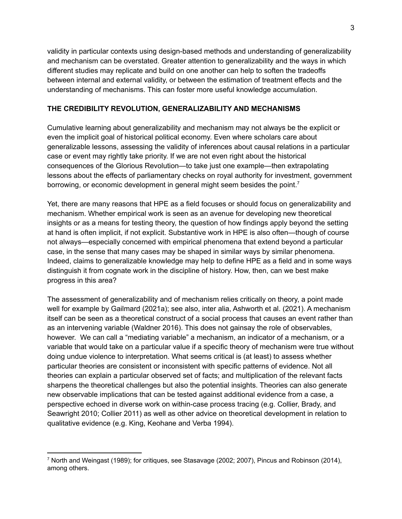validity in particular contexts using design-based methods and understanding of generalizability and mechanism can be overstated. Greater attention to generalizability and the ways in which different studies may replicate and build on one another can help to soften the tradeoffs between internal and external validity, or between the estimation of treatment effects and the understanding of mechanisms. This can foster more useful knowledge accumulation.

### **THE CREDIBILITY REVOLUTION, GENERALIZABILITY AND MECHANISMS**

Cumulative learning about generalizability and mechanism may not always be the explicit or even the implicit goal of historical political economy. Even where scholars care about generalizable lessons, assessing the validity of inferences about causal relations in a particular case or event may rightly take priority. If we are not even right about the historical consequences of the Glorious Revolution—to take just one example—then extrapolating lessons about the effects of parliamentary checks on royal authority for investment, government borrowing, or economic development in general might seem besides the point.<sup>7</sup>

Yet, there are many reasons that HPE as a field focuses or should focus on generalizability and mechanism. Whether empirical work is seen as an avenue for developing new theoretical insights or as a means for testing theory, the question of how findings apply beyond the setting at hand is often implicit, if not explicit. Substantive work in HPE is also often—though of course not always—especially concerned with empirical phenomena that extend beyond a particular case, in the sense that many cases may be shaped in similar ways by similar phenomena. Indeed, claims to generalizable knowledge may help to define HPE as a field and in some ways distinguish it from cognate work in the discipline of history. How, then, can we best make progress in this area?

The assessment of generalizability and of mechanism relies critically on theory, a point made well for example by Gailmard (2021a); see also, inter alia, Ashworth et al. (2021). A mechanism itself can be seen as a theoretical construct of a social process that causes an event rather than as an intervening variable (Waldner 2016). This does not gainsay the role of observables, however. We can call a "mediating variable" a mechanism, an indicator of a mechanism, or a variable that would take on a particular value if a specific theory of mechanism were true without doing undue violence to interpretation. What seems critical is (at least) to assess whether particular theories are consistent or inconsistent with specific patterns of evidence. Not all theories can explain a particular observed set of facts; and multiplication of the relevant facts sharpens the theoretical challenges but also the potential insights. Theories can also generate new observable implications that can be tested against additional evidence from a case, a perspective echoed in diverse work on within-case process tracing (e.g. Collier, Brady, and Seawright 2010; Collier 2011) as well as other advice on theoretical development in relation to qualitative evidence (e.g. King, Keohane and Verba 1994).

<sup>7</sup> North and Weingast (1989); for critiques, see Stasavage (2002; 2007), Pincus and Robinson (2014), among others.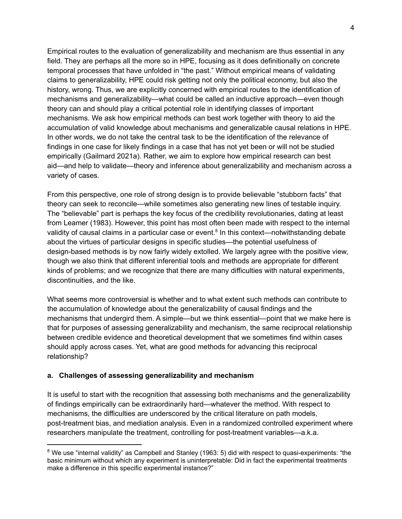Empirical routes to the evaluation of generalizability and mechanism are thus essential in any field. They are perhaps all the more so in HPE, focusing as it does definitionally on concrete temporal processes that have unfolded in "the past." Without empirical means of validating claims to generalizability, HPE could risk getting not only the political economy, but also the history, wrong. Thus, we are explicitly concerned with empirical routes to the identification of mechanisms and generalizability—what could be called an inductive approach—even though theory can and should play a critical potential role in identifying classes of important mechanisms. We ask how empirical methods can best work together with theory to aid the accumulation of valid knowledge about mechanisms and generalizable causal relations in HPE. In other words, we do not take the central task to be the identification of the relevance of findings in one case for likely findings in a case that has not yet been or will not be studied empirically (Gailmard 2021a). Rather, we aim to explore how empirical research can best aid—and help to validate—theory and inference about generalizability and mechanism across a variety of cases.

From this perspective, one role of strong design is to provide believable "stubborn facts" that theory can seek to reconcile—while sometimes also generating new lines of testable inquiry. The "believable" part is perhaps the key focus of the credibility revolutionaries, dating at least from Leamer (1983). However, this point has most often been made with respect to the internal validity of causal claims in a particular case or event.<sup>8</sup> In this context—notwithstanding debate about the virtues of particular designs in specific studies—the potential usefulness of design-based methods is by now fairly widely extolled. We largely agree with the positive view, though we also think that different inferential tools and methods are appropriate for different kinds of problems; and we recognize that there are many difficulties with natural experiments, discontinuities, and the like.

What seems more controversial is whether and to what extent such methods can contribute to the accumulation of knowledge about the generalizability of causal findings and the mechanisms that undergird them. A simple—but we think essential—point that we make here is that for purposes of assessing generalizability and mechanism, the same reciprocal relationship between credible evidence and theoretical development that we sometimes find within cases should apply across cases. Yet, what are good methods for advancing this reciprocal relationship?

### **a. Challenges of assessing generalizability and mechanism**

It is useful to start with the recognition that assessing both mechanisms and the generalizability of findings empirically can be extraordinarily hard—whatever the method. With respect to mechanisms, the difficulties are underscored by the critical literature on path models, post-treatment bias, and mediation analysis. Even in a randomized controlled experiment where researchers manipulate the treatment, controlling for post-treatment variables—a.k.a.

 $8$  We use "internal validity" as Campbell and Stanley (1963: 5) did with respect to quasi-experiments: "the basic minimum without which any experiment is uninterpretable: Did in fact the experimental treatments make a difference in this specific experimental instance?"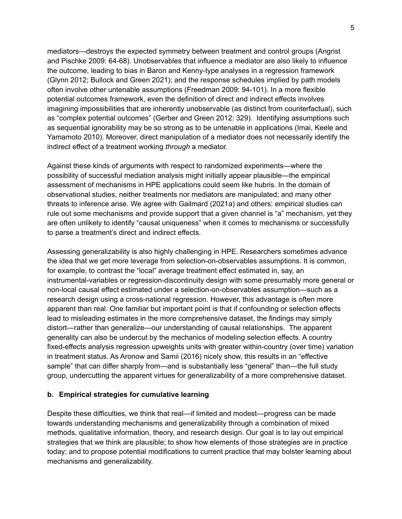mediators—destroys the expected symmetry between treatment and control groups (Angrist and Pischke 2009: 64-68). Unobservables that influence a mediator are also likely to influence the outcome, leading to bias in Baron and Kenny-type analyses in a regression framework (Glynn 2012; Bullock and Green 2021); and the response schedules implied by path models often involve other untenable assumptions (Freedman 2009: 94-101). In a more flexible potential outcomes framework, even the definition of direct and indirect effects involves imagining impossibilities that are inherently unobservable (as distinct from counterfactual), such as "complex potential outcomes" (Gerber and Green 2012: 329). Identifying assumptions such as sequential ignorability may be so strong as to be untenable in applications (Imai, Keele and Yamamoto 2010). Moreover, direct manipulation of a mediator does not necessarily identify the indirect effect of a treatment working *through* a mediator.

Against these kinds of arguments with respect to randomized experiments—where the possibility of successful mediation analysis might initially appear plausible—the empirical assessment of mechanisms in HPE applications could seem like hubris. In the domain of observational studies, neither treatments nor mediators are manipulated; and many other threats to inference arise. We agree with Gailmard (2021a) and others: empirical studies can rule out some mechanisms and provide support that a given channel is "a" mechanism, yet they are often unlikely to identify "causal uniqueness" when it comes to mechanisms or successfully to parse a treatment's direct and indirect effects.

Assessing generalizability is also highly challenging in HPE. Researchers sometimes advance the idea that we get more leverage from selection-on-observables assumptions. It is common, for example, to contrast the "local" average treatment effect estimated in, say, an instrumental-variables or regression-discontinuity design with some presumably more general or non-local causal effect estimated under a selection-on-observables assumption—such as a research design using a cross-national regression. However, this advantage is often more apparent than real. One familiar but important point is that if confounding or selection effects lead to misleading estimates in the more comprehensive dataset, the findings may simply distort—rather than generalize—our understanding of causal relationships. The apparent generality can also be undercut by the mechanics of modeling selection effects. A country fixed-effects analysis regression upweights units with greater within-country (over time) variation in treatment status. As Aronow and Samii (2016) nicely show, this results in an "effective sample" that can differ sharply from—and is substantially less "general" than—the full study group, undercutting the apparent virtues for generalizability of a more comprehensive dataset.

### **b. Empirical strategies for cumulative learning**

Despite these difficulties, we think that real—if limited and modest—progress can be made towards understanding mechanisms and generalizability through a combination of mixed methods, qualitative information, theory, and research design. Our goal is to lay out empirical strategies that we think are plausible; to show how elements of those strategies are in practice today; and to propose potential modifications to current practice that may bolster learning about mechanisms and generalizability.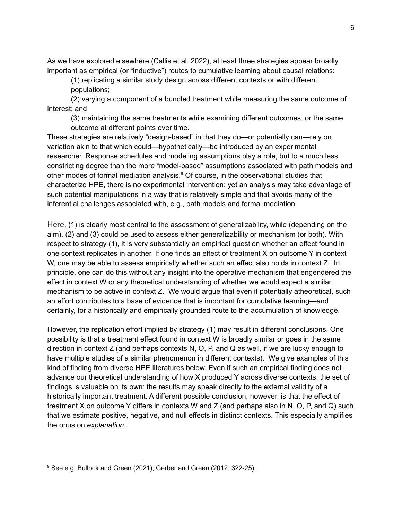As we have explored elsewhere (Callis et al. 2022), at least three strategies appear broadly important as empirical (or "inductive") routes to cumulative learning about causal relations:

(1) replicating a similar study design across different contexts or with different populations;

(2) varying a component of a bundled treatment while measuring the same outcome of interest; and

(3) maintaining the same treatments while examining different outcomes, or the same outcome at different points over time.

These strategies are relatively "design-based" in that they do—or potentially can—rely on variation akin to that which could—hypothetically—be introduced by an experimental researcher. Response schedules and modeling assumptions play a role, but to a much less constricting degree than the more "model-based" assumptions associated with path models and other modes of formal mediation analysis. <sup>9</sup> Of course, in the observational studies that characterize HPE, there is no experimental intervention; yet an analysis may take advantage of such potential manipulations in a way that is relatively simple and that avoids many of the inferential challenges associated with, e.g., path models and formal mediation.

Here, (1) is clearly most central to the assessment of generalizability, while (depending on the aim), (2) and (3) could be used to assess either generalizability or mechanism (or both). With respect to strategy (1), it is very substantially an empirical question whether an effect found in one context replicates in another. If one finds an effect of treatment X on outcome Y in context W, one may be able to assess empirically whether such an effect also holds in context Z. In principle, one can do this without any insight into the operative mechanism that engendered the effect in context W or any theoretical understanding of whether we would expect a similar mechanism to be active in context Z. We would argue that even if potentially atheoretical, such an effort contributes to a base of evidence that is important for cumulative learning—and certainly, for a historically and empirically grounded route to the accumulation of knowledge.

However, the replication effort implied by strategy (1) may result in different conclusions. One possibility is that a treatment effect found in context W is broadly similar or goes in the same direction in context Z (and perhaps contexts N, O, P, and Q as well, if we are lucky enough to have multiple studies of a similar phenomenon in different contexts). We give examples of this kind of finding from diverse HPE literatures below. Even if such an empirical finding does not advance our theoretical understanding of how X produced Y across diverse contexts, the set of findings is valuable on its own: the results may speak directly to the external validity of a historically important treatment. A different possible conclusion, however, is that the effect of treatment X on outcome Y differs in contexts W and Z (and perhaps also in N, O, P, and Q) such that we estimate positive, negative, and null effects in distinct contexts. This especially amplifies the onus on *explanation*.

<sup>&</sup>lt;sup>9</sup> See e.g. Bullock and Green (2021); Gerber and Green (2012: 322-25).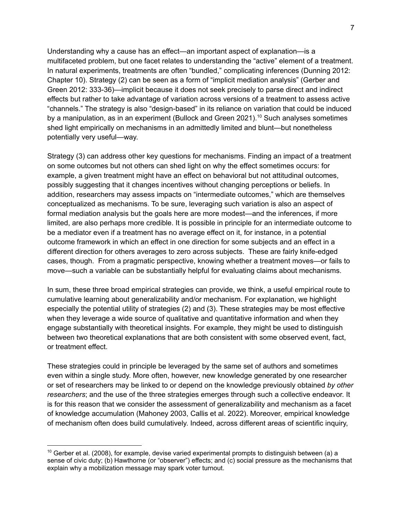Understanding why a cause has an effect—an important aspect of explanation—is a multifaceted problem, but one facet relates to understanding the "active" element of a treatment. In natural experiments, treatments are often "bundled," complicating inferences (Dunning 2012: Chapter 10). Strategy (2) can be seen as a form of "implicit mediation analysis" (Gerber and Green 2012: 333-36)—implicit because it does not seek precisely to parse direct and indirect effects but rather to take advantage of variation across versions of a treatment to assess active "channels." The strategy is also "design-based" in its reliance on variation that could be induced by a manipulation, as in an experiment (Bullock and Green 2021).<sup>10</sup> Such analyses sometimes shed light empirically on mechanisms in an admittedly limited and blunt—but nonetheless potentially very useful—way.

Strategy (3) can address other key questions for mechanisms. Finding an impact of a treatment on some outcomes but not others can shed light on why the effect sometimes occurs: for example, a given treatment might have an effect on behavioral but not attitudinal outcomes, possibly suggesting that it changes incentives without changing perceptions or beliefs. In addition, researchers may assess impacts on "intermediate outcomes," which are themselves conceptualized as mechanisms. To be sure, leveraging such variation is also an aspect of formal mediation analysis but the goals here are more modest—and the inferences, if more limited, are also perhaps more credible. It is possible in principle for an intermediate outcome to be a mediator even if a treatment has no average effect on it, for instance, in a potential outcome framework in which an effect in one direction for some subjects and an effect in a different direction for others averages to zero across subjects. These are fairly knife-edged cases, though. From a pragmatic perspective, knowing whether a treatment moves—or fails to move—such a variable can be substantially helpful for evaluating claims about mechanisms.

In sum, these three broad empirical strategies can provide, we think, a useful empirical route to cumulative learning about generalizability and/or mechanism. For explanation, we highlight especially the potential utility of strategies (2) and (3). These strategies may be most effective when they leverage a wide source of qualitative and quantitative information and when they engage substantially with theoretical insights. For example, they might be used to distinguish between two theoretical explanations that are both consistent with some observed event, fact, or treatment effect.

These strategies could in principle be leveraged by the same set of authors and sometimes even within a single study. More often, however, new knowledge generated by one researcher or set of researchers may be linked to or depend on the knowledge previously obtained *by other researchers*; and the use of the three strategies emerges through such a collective endeavor. It is for this reason that we consider the assessment of generalizability and mechanism as a facet of knowledge accumulation (Mahoney 2003, Callis et al. 2022). Moreover, empirical knowledge of mechanism often does build cumulatively. Indeed, across different areas of scientific inquiry,

 $10$  Gerber et al. (2008), for example, devise varied experimental prompts to distinguish between (a) a sense of civic duty; (b) Hawthorne (or "observer") effects; and (c) social pressure as the mechanisms that explain why a mobilization message may spark voter turnout.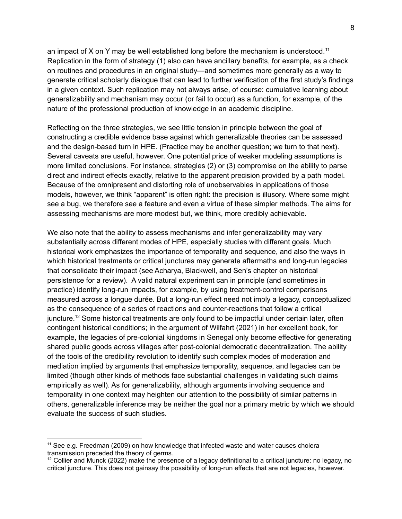an impact of X on Y may be well established long before the mechanism is understood.<sup>11</sup> Replication in the form of strategy (1) also can have ancillary benefits, for example, as a check on routines and procedures in an original study—and sometimes more generally as a way to generate critical scholarly dialogue that can lead to further verification of the first study's findings in a given context. Such replication may not always arise, of course: cumulative learning about generalizability and mechanism may occur (or fail to occur) as a function, for example, of the nature of the professional production of knowledge in an academic discipline.

Reflecting on the three strategies, we see little tension in principle between the goal of constructing a credible evidence base against which generalizable theories can be assessed and the design-based turn in HPE. (Practice may be another question; we turn to that next). Several caveats are useful, however. One potential price of weaker modeling assumptions is more limited conclusions. For instance, strategies (2) or (3) compromise on the ability to parse direct and indirect effects exactly, relative to the apparent precision provided by a path model. Because of the omnipresent and distorting role of unobservables in applications of those models, however, we think "apparent" is often right: the precision is illusory. Where some might see a bug, we therefore see a feature and even a virtue of these simpler methods. The aims for assessing mechanisms are more modest but, we think, more credibly achievable.

We also note that the ability to assess mechanisms and infer generalizability may vary substantially across different modes of HPE, especially studies with different goals. Much historical work emphasizes the importance of temporality and sequence, and also the ways in which historical treatments or critical junctures may generate aftermaths and long-run legacies that consolidate their impact (see Acharya, Blackwell, and Sen's chapter on historical persistence for a review). A valid natural experiment can in principle (and sometimes in practice) identify long-run impacts, for example, by using treatment-control comparisons measured across a longue durée. But a long-run effect need not imply a legacy, conceptualized as the consequence of a series of reactions and counter-reactions that follow a critical juncture.<sup>12</sup> Some historical treatments are only found to be impactful under certain later, often contingent historical conditions; in the argument of Wilfahrt (2021) in her excellent book, for example, the legacies of pre-colonial kingdoms in Senegal only become effective for generating shared public goods across villages after post-colonial democratic decentralization. The ability of the tools of the credibility revolution to identify such complex modes of moderation and mediation implied by arguments that emphasize temporality, sequence, and legacies can be limited (though other kinds of methods face substantial challenges in validating such claims empirically as well). As for generalizability, although arguments involving sequence and temporality in one context may heighten our attention to the possibility of similar patterns in others, generalizable inference may be neither the goal nor a primary metric by which we should evaluate the success of such studies.

 $11$  See e.g. Freedman (2009) on how knowledge that infected waste and water causes cholera transmission preceded the theory of germs.

<sup>&</sup>lt;sup>12</sup> Collier and Munck (2022) make the presence of a legacy definitional to a critical juncture: no legacy, no critical juncture. This does not gainsay the possibility of long-run effects that are not legacies, however.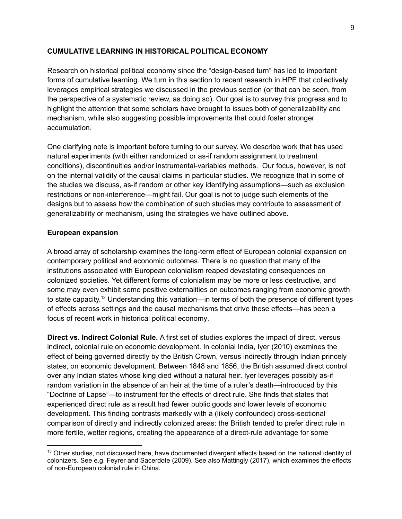#### **CUMULATIVE LEARNING IN HISTORICAL POLITICAL ECONOMY**

Research on historical political economy since the "design-based turn" has led to important forms of cumulative learning. We turn in this section to recent research in HPE that collectively leverages empirical strategies we discussed in the previous section (or that can be seen, from the perspective of a systematic review, as doing so). Our goal is to survey this progress and to highlight the attention that some scholars have brought to issues both of generalizability and mechanism, while also suggesting possible improvements that could foster stronger accumulation.

One clarifying note is important before turning to our survey. We describe work that has used natural experiments (with either randomized or as-if random assignment to treatment conditions), discontinuities and/or instrumental-variables methods. Our focus, however, is not on the internal validity of the causal claims in particular studies. We recognize that in some of the studies we discuss, as-if random or other key identifying assumptions—such as exclusion restrictions or non-interference—might fail. Our goal is not to judge such elements of the designs but to assess how the combination of such studies may contribute to assessment of generalizability or mechanism, using the strategies we have outlined above.

#### **European expansion**

A broad array of scholarship examines the long-term effect of European colonial expansion on contemporary political and economic outcomes. There is no question that many of the institutions associated with European colonialism reaped devastating consequences on colonized societies. Yet different forms of colonialism may be more or less destructive, and some may even exhibit some positive externalities on outcomes ranging from economic growth to state capacity.<sup>13</sup> Understanding this variation—in terms of both the presence of different types of effects across settings and the causal mechanisms that drive these effects—has been a focus of recent work in historical political economy.

**Direct vs. Indirect Colonial Rule.** A first set of studies explores the impact of direct, versus indirect, colonial rule on economic development. In colonial India, Iyer (2010) examines the effect of being governed directly by the British Crown, versus indirectly through Indian princely states, on economic development. Between 1848 and 1856, the British assumed direct control over any Indian states whose king died without a natural heir. Iyer leverages possibly as-if random variation in the absence of an heir at the time of a ruler's death—introduced by this "Doctrine of Lapse"—to instrument for the effects of direct rule. She finds that states that experienced direct rule as a result had fewer public goods and lower levels of economic development. This finding contrasts markedly with a (likely confounded) cross-sectional comparison of directly and indirectly colonized areas: the British tended to prefer direct rule in more fertile, wetter regions, creating the appearance of a direct-rule advantage for some

<sup>&</sup>lt;sup>13</sup> Other studies, not discussed here, have documented divergent effects based on the national identity of colonizers. See e.g. Feyrer and Sacerdote (2009). See also Mattingly (2017), which examines the effects of non-European colonial rule in China.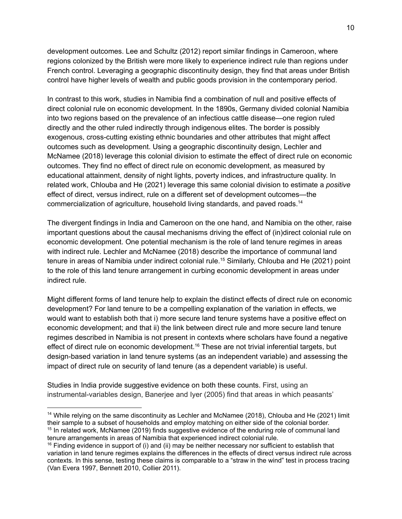development outcomes. Lee and Schultz (2012) report similar findings in Cameroon, where regions colonized by the British were more likely to experience indirect rule than regions under French control. Leveraging a geographic discontinuity design, they find that areas under British control have higher levels of wealth and public goods provision in the contemporary period.

In contrast to this work, studies in Namibia find a combination of null and positive effects of direct colonial rule on economic development. In the 1890s, Germany divided colonial Namibia into two regions based on the prevalence of an infectious cattle disease—one region ruled directly and the other ruled indirectly through indigenous elites. The border is possibly exogenous, cross-cutting existing ethnic boundaries and other attributes that might affect outcomes such as development. Using a geographic discontinuity design, Lechler and McNamee (2018) leverage this colonial division to estimate the effect of direct rule on economic outcomes. They find no effect of direct rule on economic development, as measured by educational attainment, density of night lights, poverty indices, and infrastructure quality. In related work, Chlouba and He (2021) leverage this same colonial division to estimate a *positive* effect of direct, versus indirect, rule on a different set of development outcomes—the commercialization of agriculture, household living standards, and paved roads. 14

The divergent findings in India and Cameroon on the one hand, and Namibia on the other, raise important questions about the causal mechanisms driving the effect of (in)direct colonial rule on economic development. One potential mechanism is the role of land tenure regimes in areas with indirect rule. Lechler and McNamee (2018) describe the importance of communal land tenure in areas of Namibia under indirect colonial rule. <sup>15</sup> Similarly, Chlouba and He (2021) point to the role of this land tenure arrangement in curbing economic development in areas under indirect rule.

Might different forms of land tenure help to explain the distinct effects of direct rule on economic development? For land tenure to be a compelling explanation of the variation in effects, we would want to establish both that i) more secure land tenure systems have a positive effect on economic development; and that ii) the link between direct rule and more secure land tenure regimes described in Namibia is not present in contexts where scholars have found a negative effect of direct rule on economic development.<sup>16</sup> These are not trivial inferential targets, but design-based variation in land tenure systems (as an independent variable) and assessing the impact of direct rule on security of land tenure (as a dependent variable) is useful.

Studies in India provide suggestive evidence on both these counts. First, using an instrumental-variables design, Banerjee and Iyer (2005) find that areas in which peasants'

<sup>&</sup>lt;sup>15</sup> In related work, McNamee (2019) finds suggestive evidence of the enduring role of communal land tenure arrangements in areas of Namibia that experienced indirect colonial rule. <sup>14</sup> While relying on the same discontinuity as Lechler and McNamee (2018), Chlouba and He (2021) limit their sample to a subset of households and employ matching on either side of the colonial border.

 $16$  Finding evidence in support of (i) and (ii) may be neither necessary nor sufficient to establish that variation in land tenure regimes explains the differences in the effects of direct versus indirect rule across contexts. In this sense, testing these claims is comparable to a "straw in the wind" test in process tracing (Van Evera 1997, Bennett 2010, Collier 2011).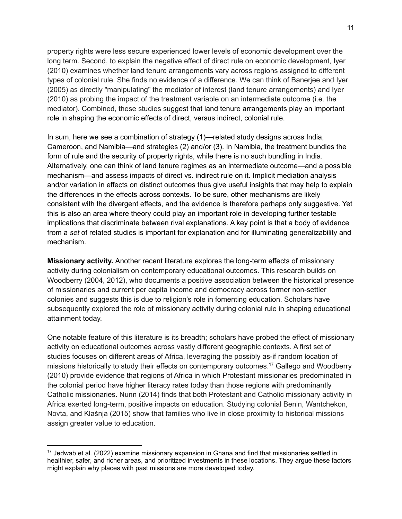property rights were less secure experienced lower levels of economic development over the long term. Second, to explain the negative effect of direct rule on economic development, Iyer (2010) examines whether land tenure arrangements vary across regions assigned to different types of colonial rule. She finds no evidence of a difference. We can think of Banerjee and Iyer (2005) as directly "manipulating" the mediator of interest (land tenure arrangements) and Iyer (2010) as probing the impact of the treatment variable on an intermediate outcome (i.e. the mediator). Combined, these studies suggest that land tenure arrangements play an important role in shaping the economic effects of direct, versus indirect, colonial rule.

In sum, here we see a combination of strategy (1)—related study designs across India, Cameroon, and Namibia—and strategies (2) and/or (3). In Namibia, the treatment bundles the form of rule and the security of property rights, while there is no such bundling in India. Alternatively, one can think of land tenure regimes as an intermediate outcome—and a possible mechanism—and assess impacts of direct vs. indirect rule on it. Implicit mediation analysis and/or variation in effects on distinct outcomes thus give useful insights that may help to explain the differences in the effects across contexts. To be sure, other mechanisms are likely consistent with the divergent effects, and the evidence is therefore perhaps only suggestive. Yet this is also an area where theory could play an important role in developing further testable implications that discriminate between rival explanations. A key point is that a body of evidence from a *set* of related studies is important for explanation and for illuminating generalizability and mechanism.

**Missionary activity.** Another recent literature explores the long-term effects of missionary activity during colonialism on contemporary educational outcomes. This research builds on Woodberry (2004, 2012), who documents a positive association between the historical presence of missionaries and current per capita income and democracy across former non-settler colonies and suggests this is due to religion's role in fomenting education. Scholars have subsequently explored the role of missionary activity during colonial rule in shaping educational attainment today.

One notable feature of this literature is its breadth; scholars have probed the effect of missionary activity on educational outcomes across vastly different geographic contexts. A first set of studies focuses on different areas of Africa, leveraging the possibly as-if random location of missions historically to study their effects on contemporary outcomes.<sup>17</sup> Gallego and Woodberry (2010) provide evidence that regions of Africa in which Protestant missionaries predominated in the colonial period have higher literacy rates today than those regions with predominantly Catholic missionaries. Nunn (2014) finds that both Protestant and Catholic missionary activity in Africa exerted long-term, positive impacts on education. Studying colonial Benin, Wantchekon, Novta, and Klašnja (2015) show that families who live in close proximity to historical missions assign greater value to education.

<sup>&</sup>lt;sup>17</sup> Jedwab et al. (2022) examine missionary expansion in Ghana and find that missionaries settled in healthier, safer, and richer areas, and prioritized investments in these locations. They argue these factors might explain why places with past missions are more developed today.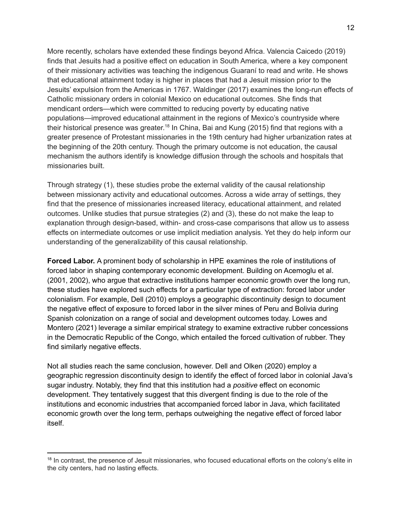More recently, scholars have extended these findings beyond Africa. Valencia Caicedo (2019) finds that Jesuits had a positive effect on education in South America, where a key component of their missionary activities was teaching the indigenous Guaraní to read and write. He shows that educational attainment today is higher in places that had a Jesuit mission prior to the Jesuits' expulsion from the Americas in 1767. Waldinger (2017) examines the long-run effects of Catholic missionary orders in colonial Mexico on educational outcomes. She finds that mendicant orders—which were committed to reducing poverty by educating native populations—improved educational attainment in the regions of Mexico's countryside where their historical presence was greater.<sup>18</sup> In China, Bai and Kung (2015) find that regions with a greater presence of Protestant missionaries in the 19th century had higher urbanization rates at the beginning of the 20th century. Though the primary outcome is not education, the causal mechanism the authors identify is knowledge diffusion through the schools and hospitals that missionaries built.

Through strategy (1), these studies probe the external validity of the causal relationship between missionary activity and educational outcomes. Across a wide array of settings, they find that the presence of missionaries increased literacy, educational attainment, and related outcomes. Unlike studies that pursue strategies (2) and (3), these do not make the leap to explanation through design-based, within- and cross-case comparisons that allow us to assess effects on intermediate outcomes or use implicit mediation analysis. Yet they do help inform our understanding of the generalizability of this causal relationship.

**Forced Labor.** A prominent body of scholarship in HPE examines the role of institutions of forced labor in shaping contemporary economic development. Building on Acemoglu et al. (2001, 2002), who argue that extractive institutions hamper economic growth over the long run, these studies have explored such effects for a particular type of extraction: forced labor under colonialism. For example, Dell (2010) employs a geographic discontinuity design to document the negative effect of exposure to forced labor in the silver mines of Peru and Bolivia during Spanish colonization on a range of social and development outcomes today. Lowes and Montero (2021) leverage a similar empirical strategy to examine extractive rubber concessions in the Democratic Republic of the Congo, which entailed the forced cultivation of rubber. They find similarly negative effects.

Not all studies reach the same conclusion, however. Dell and Olken (2020) employ a geographic regression discontinuity design to identify the effect of forced labor in colonial Java's sugar industry. Notably, they find that this institution had a *positive* effect on economic development. They tentatively suggest that this divergent finding is due to the role of the institutions and economic industries that accompanied forced labor in Java, which facilitated economic growth over the long term, perhaps outweighing the negative effect of forced labor itself.

<sup>&</sup>lt;sup>18</sup> In contrast, the presence of Jesuit missionaries, who focused educational efforts on the colony's elite in the city centers, had no lasting effects.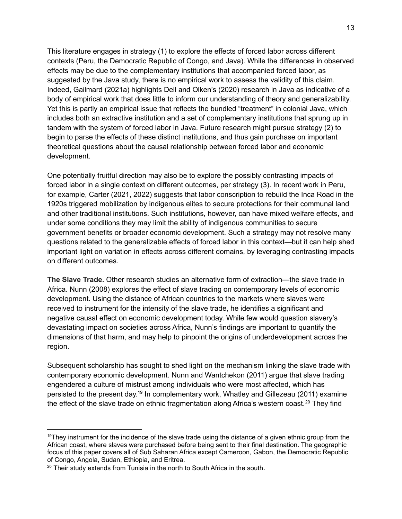This literature engages in strategy (1) to explore the effects of forced labor across different contexts (Peru, the Democratic Republic of Congo, and Java). While the differences in observed effects may be due to the complementary institutions that accompanied forced labor, as suggested by the Java study, there is no empirical work to assess the validity of this claim. Indeed, Gailmard (2021a) highlights Dell and Olken's (2020) research in Java as indicative of a body of empirical work that does little to inform our understanding of theory and generalizability. Yet this is partly an empirical issue that reflects the bundled "treatment" in colonial Java, which includes both an extractive institution and a set of complementary institutions that sprung up in tandem with the system of forced labor in Java. Future research might pursue strategy (2) to begin to parse the effects of these distinct institutions, and thus gain purchase on important theoretical questions about the causal relationship between forced labor and economic development.

One potentially fruitful direction may also be to explore the possibly contrasting impacts of forced labor in a single context on different outcomes, per strategy (3). In recent work in Peru, for example, Carter (2021, 2022) suggests that labor conscription to rebuild the Inca Road in the 1920s triggered mobilization by indigenous elites to secure protections for their communal land and other traditional institutions. Such institutions, however, can have mixed welfare effects, and under some conditions they may limit the ability of indigenous communities to secure government benefits or broader economic development. Such a strategy may not resolve many questions related to the generalizable effects of forced labor in this context—but it can help shed important light on variation in effects across different domains, by leveraging contrasting impacts on different outcomes.

**The Slave Trade.** Other research studies an alternative form of extraction—the slave trade in Africa. Nunn (2008) explores the effect of slave trading on contemporary levels of economic development. Using the distance of African countries to the markets where slaves were received to instrument for the intensity of the slave trade, he identifies a significant and negative causal effect on economic development today. While few would question slavery's devastating impact on societies across Africa, Nunn's findings are important to quantify the dimensions of that harm, and may help to pinpoint the origins of underdevelopment across the region.

Subsequent scholarship has sought to shed light on the mechanism linking the slave trade with contemporary economic development. Nunn and Wantchekon (2011) argue that slave trading engendered a culture of mistrust among individuals who were most affected, which has persisted to the present day.<sup>19</sup> In complementary work, Whatley and Gillezeau (2011) examine the effect of the slave trade on ethnic fragmentation along Africa's western coast.<sup>20</sup> They find

 $19$ They instrument for the incidence of the slave trade using the distance of a given ethnic group from the African coast, where slaves were purchased before being sent to their final destination. The geographic focus of this paper covers all of Sub Saharan Africa except Cameroon, Gabon, the Democratic Republic of Congo, Angola, Sudan, Ethiopia, and Eritrea.

 $20$  Their study extends from Tunisia in the north to South Africa in the south.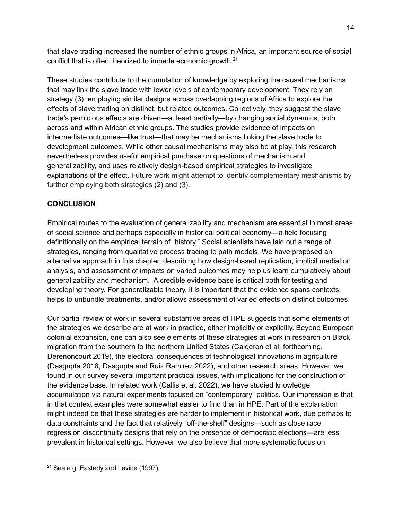that slave trading increased the number of ethnic groups in Africa, an important source of social conflict that is often theorized to impede economic growth.<sup>21</sup>

These studies contribute to the cumulation of knowledge by exploring the causal mechanisms that may link the slave trade with lower levels of contemporary development. They rely on strategy (3), employing similar designs across overlapping regions of Africa to explore the effects of slave trading on distinct, but related outcomes. Collectively, they suggest the slave trade's pernicious effects are driven—at least partially—by changing social dynamics, both across and within African ethnic groups. The studies provide evidence of impacts on intermediate outcomes—like trust—that may be mechanisms linking the slave trade to development outcomes. While other causal mechanisms may also be at play, this research nevertheless provides useful empirical purchase on questions of mechanism and generalizability, and uses relatively design-based empirical strategies to investigate explanations of the effect. Future work might attempt to identify complementary mechanisms by further employing both strategies (2) and (3).

## **CONCLUSION**

Empirical routes to the evaluation of generalizability and mechanism are essential in most areas of social science and perhaps especially in historical political economy—a field focusing definitionally on the empirical terrain of "history." Social scientists have laid out a range of strategies, ranging from qualitative process tracing to path models. We have proposed an alternative approach in this chapter, describing how design-based replication, implicit mediation analysis, and assessment of impacts on varied outcomes may help us learn cumulatively about generalizability and mechanism. A credible evidence base is critical both for testing and developing theory. For generalizable theory, it is important that the evidence spans contexts, helps to unbundle treatments, and/or allows assessment of varied effects on distinct outcomes.

Our partial review of work in several substantive areas of HPE suggests that some elements of the strategies we describe are at work in practice, either implicitly or explicitly. Beyond European colonial expansion, one can also see elements of these strategies at work in research on Black migration from the southern to the northern United States (Calderon et al. forthcoming, Derenoncourt 2019), the electoral consequences of technological innovations in agriculture (Dasgupta 2018, Dasgupta and Ruiz Ramirez 2022), and other research areas. However, we found in our survey several important practical issues, with implications for the construction of the evidence base. In related work (Callis et al. 2022), we have studied knowledge accumulation via natural experiments focused on "contemporary" politics. Our impression is that in that context examples were somewhat easier to find than in HPE. Part of the explanation might indeed be that these strategies are harder to implement in historical work, due perhaps to data constraints and the fact that relatively "off-the-shelf" designs—such as close race regression discontinuity designs that rely on the presence of democratic elections—are less prevalent in historical settings. However, we also believe that more systematic focus on

<sup>&</sup>lt;sup>21</sup> See e.g. Easterly and Levine (1997).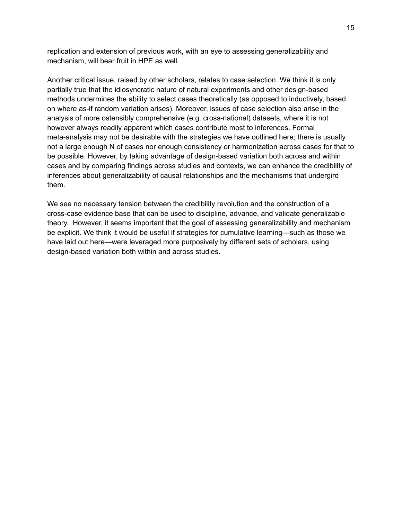replication and extension of previous work, with an eye to assessing generalizability and mechanism, will bear fruit in HPE as well.

Another critical issue, raised by other scholars, relates to case selection. We think it is only partially true that the idiosyncratic nature of natural experiments and other design-based methods undermines the ability to select cases theoretically (as opposed to inductively, based on where as-if random variation arises). Moreover, issues of case selection also arise in the analysis of more ostensibly comprehensive (e.g. cross-national) datasets, where it is not however always readily apparent which cases contribute most to inferences. Formal meta-analysis may not be desirable with the strategies we have outlined here; there is usually not a large enough N of cases nor enough consistency or harmonization across cases for that to be possible. However, by taking advantage of design-based variation both across and within cases and by comparing findings across studies and contexts, we can enhance the credibility of inferences about generalizability of causal relationships and the mechanisms that undergird them.

We see no necessary tension between the credibility revolution and the construction of a cross-case evidence base that can be used to discipline, advance, and validate generalizable theory. However, it seems important that the goal of assessing generalizability and mechanism be explicit. We think it would be useful if strategies for cumulative learning—such as those we have laid out here—were leveraged more purposively by different sets of scholars, using design-based variation both within and across studies.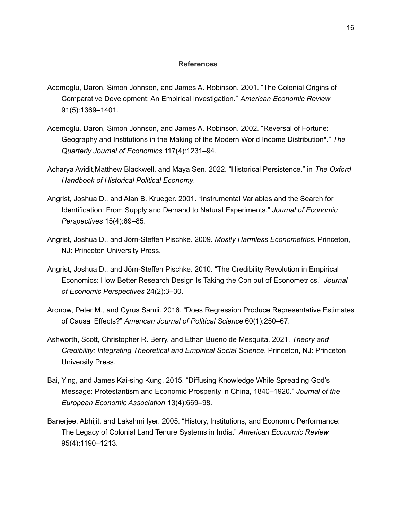#### **References**

- Acemoglu, Daron, Simon Johnson, and James A. Robinson. 2001. "The Colonial Origins of Comparative Development: An Empirical Investigation." *American Economic Review* 91(5):1369–1401.
- Acemoglu, Daron, Simon Johnson, and James A. Robinson. 2002. "Reversal of Fortune: Geography and Institutions in the Making of the Modern World Income Distribution\*." *The Quarterly Journal of Economics* 117(4):1231–94.
- Acharya Avidit,Matthew Blackwell, and Maya Sen. 2022. "Historical Persistence." in *The Oxford Handbook of Historical Political Economy*.
- Angrist, Joshua D., and Alan B. Krueger. 2001. "Instrumental Variables and the Search for Identification: From Supply and Demand to Natural Experiments." *Journal of Economic Perspectives* 15(4):69–85.
- Angrist, Joshua D., and Jörn-Steffen Pischke. 2009. *Mostly Harmless Econometrics*. Princeton, NJ: Princeton University Press.
- Angrist, Joshua D., and Jörn-Steffen Pischke. 2010. "The Credibility Revolution in Empirical Economics: How Better Research Design Is Taking the Con out of Econometrics." *Journal of Economic Perspectives* 24(2):3–30.
- Aronow, Peter M., and Cyrus Samii. 2016. "Does Regression Produce Representative Estimates of Causal Effects?" *American Journal of Political Science* 60(1):250–67.
- Ashworth, Scott, Christopher R. Berry, and Ethan Bueno de Mesquita. 2021. *Theory and Credibility: Integrating Theoretical and Empirical Social Science*. Princeton, NJ: Princeton University Press.
- Bai, Ying, and James Kai-sing Kung. 2015. "Diffusing Knowledge While Spreading God's Message: Protestantism and Economic Prosperity in China, 1840–1920." *Journal of the European Economic Association* 13(4):669–98.
- Banerjee, Abhijit, and Lakshmi Iyer. 2005. "History, Institutions, and Economic Performance: The Legacy of Colonial Land Tenure Systems in India." *American Economic Review* 95(4):1190–1213.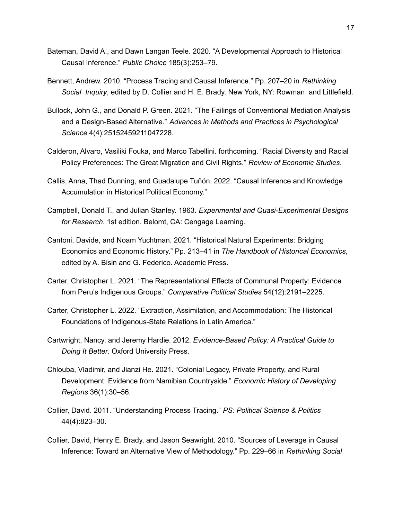- Bateman, David A., and Dawn Langan Teele. 2020. "A Developmental Approach to Historical Causal Inference." *Public Choice* 185(3):253–79.
- Bennett, Andrew. 2010. "Process Tracing and Causal Inference." Pp. 207–20 in *Rethinking Social Inquiry*, edited by D. Collier and H. E. Brady. New York, NY: Rowman and Littlefield.
- Bullock, John G., and Donald P. Green. 2021. "The Failings of Conventional Mediation Analysis and a Design-Based Alternative." *Advances in Methods and Practices in Psychological Science* 4(4):25152459211047228.
- Calderon, Alvaro, Vasiliki Fouka, and Marco Tabellini. forthcoming. "Racial Diversity and Racial Policy Preferences: The Great Migration and Civil Rights." *Review of Economic Studies*.
- Callis, Anna, Thad Dunning, and Guadalupe Tuñón. 2022. "Causal Inference and Knowledge Accumulation in Historical Political Economy."
- Campbell, Donald T., and Julian Stanley. 1963. *Experimental and Quasi-Experimental Designs for Research*. 1st edition. Belomt, CA: Cengage Learning.
- Cantoni, Davide, and Noam Yuchtman. 2021. "Historical Natural Experiments: Bridging Economics and Economic History." Pp. 213–41 in *The Handbook of Historical Economics*, edited by A. Bisin and G. Federico. Academic Press.
- Carter, Christopher L. 2021. "The Representational Effects of Communal Property: Evidence from Peru's Indigenous Groups." *Comparative Political Studies* 54(12):2191–2225.
- Carter, Christopher L. 2022. "Extraction, Assimilation, and Accommodation: The Historical Foundations of Indigenous-State Relations in Latin America."
- Cartwright, Nancy, and Jeremy Hardie. 2012. *Evidence-Based Policy: A Practical Guide to Doing It Better*. Oxford University Press.
- Chlouba, Vladimir, and Jianzi He. 2021. "Colonial Legacy, Private Property, and Rural Development: Evidence from Namibian Countryside." *Economic History of Developing Regions* 36(1):30–56.
- Collier, David. 2011. "Understanding Process Tracing." *PS: Political Science & Politics* 44(4):823–30.
- Collier, David, Henry E. Brady, and Jason Seawright. 2010. "Sources of Leverage in Causal Inference: Toward an Alternative View of Methodology." Pp. 229–66 in *Rethinking Social*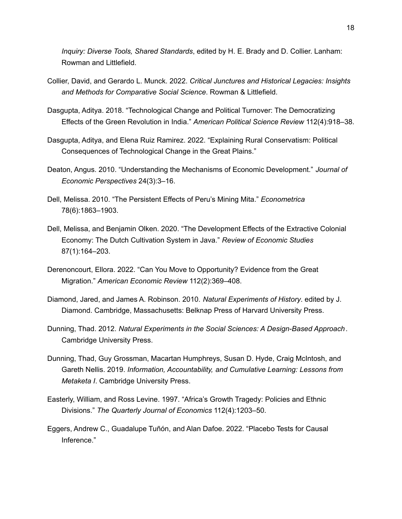*Inquiry: Diverse Tools, Shared Standards*, edited by H. E. Brady and D. Collier. Lanham: Rowman and Littlefield.

- Collier, David, and Gerardo L. Munck. 2022. *Critical Junctures and Historical Legacies: Insights and Methods for Comparative Social Science*. Rowman & Littlefield.
- Dasgupta, Aditya. 2018. "Technological Change and Political Turnover: The Democratizing Effects of the Green Revolution in India." *American Political Science Review* 112(4):918–38.
- Dasgupta, Aditya, and Elena Ruiz Ramirez. 2022. "Explaining Rural Conservatism: Political Consequences of Technological Change in the Great Plains."
- Deaton, Angus. 2010. "Understanding the Mechanisms of Economic Development." *Journal of Economic Perspectives* 24(3):3–16.
- Dell, Melissa. 2010. "The Persistent Effects of Peru's Mining Mita." *Econometrica* 78(6):1863–1903.
- Dell, Melissa, and Benjamin Olken. 2020. "The Development Effects of the Extractive Colonial Economy: The Dutch Cultivation System in Java." *Review of Economic Studies* 87(1):164–203.
- Derenoncourt, Ellora. 2022. "Can You Move to Opportunity? Evidence from the Great Migration." *American Economic Review* 112(2):369–408.
- Diamond, Jared, and James A. Robinson. 2010. *Natural Experiments of History*. edited by J. Diamond. Cambridge, Massachusetts: Belknap Press of Harvard University Press.
- Dunning, Thad. 2012. *Natural Experiments in the Social Sciences: A Design-Based Approach*. Cambridge University Press.
- Dunning, Thad, Guy Grossman, Macartan Humphreys, Susan D. Hyde, Craig McIntosh, and Gareth Nellis. 2019. *Information, Accountability, and Cumulative Learning: Lessons from Metaketa I*. Cambridge University Press.
- Easterly, William, and Ross Levine. 1997. "Africa's Growth Tragedy: Policies and Ethnic Divisions." *The Quarterly Journal of Economics* 112(4):1203–50.
- Eggers, Andrew C., Guadalupe Tuñón, and Alan Dafoe. 2022. "Placebo Tests for Causal Inference."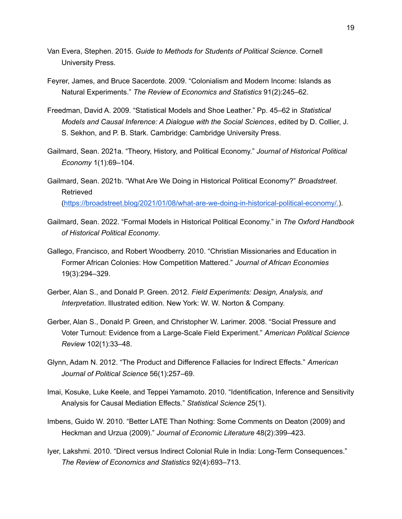- Van Evera, Stephen. 2015. *Guide to Methods for Students of Political Science*. Cornell University Press.
- Feyrer, James, and Bruce Sacerdote. 2009. "Colonialism and Modern Income: Islands as Natural Experiments." *The Review of Economics and Statistics* 91(2):245–62.
- Freedman, David A. 2009. "Statistical Models and Shoe Leather." Pp. 45–62 in *Statistical Models and Causal Inference: A Dialogue with the Social Sciences*, edited by D. Collier, J. S. Sekhon, and P. B. Stark. Cambridge: Cambridge University Press.
- Gailmard, Sean. 2021a. "Theory, History, and Political Economy." *Journal of Historical Political Economy* 1(1):69–104.
- Gailmard, Sean. 2021b. "What Are We Doing in Historical Political Economy?" *Broadstreet*. Retrieved [\(https://broadstreet.blog/2021/01/08/what-are-we-doing-in-historical-political-economy/.\)](https://broadstreet.blog/2021/01/08/what-are-we-doing-in-historical-political-economy/).
- Gailmard, Sean. 2022. "Formal Models in Historical Political Economy." in *The Oxford Handbook of Historical Political Economy*.
- Gallego, Francisco, and Robert Woodberry. 2010. "Christian Missionaries and Education in Former African Colonies: How Competition Mattered." *Journal of African Economies* 19(3):294–329.
- Gerber, Alan S., and Donald P. Green. 2012. *Field Experiments: Design, Analysis, and Interpretation*. Illustrated edition. New York: W. W. Norton & Company.
- Gerber, Alan S., Donald P. Green, and Christopher W. Larimer. 2008. "Social Pressure and Voter Turnout: Evidence from a Large-Scale Field Experiment." *American Political Science Review* 102(1):33–48.
- Glynn, Adam N. 2012. "The Product and Difference Fallacies for Indirect Effects." *American Journal of Political Science* 56(1):257–69.
- Imai, Kosuke, Luke Keele, and Teppei Yamamoto. 2010. "Identification, Inference and Sensitivity Analysis for Causal Mediation Effects." *Statistical Science* 25(1).
- Imbens, Guido W. 2010. "Better LATE Than Nothing: Some Comments on Deaton (2009) and Heckman and Urzua (2009)." *Journal of Economic Literature* 48(2):399–423.
- Iyer, Lakshmi. 2010. "Direct versus Indirect Colonial Rule in India: Long-Term Consequences." *The Review of Economics and Statistics* 92(4):693–713.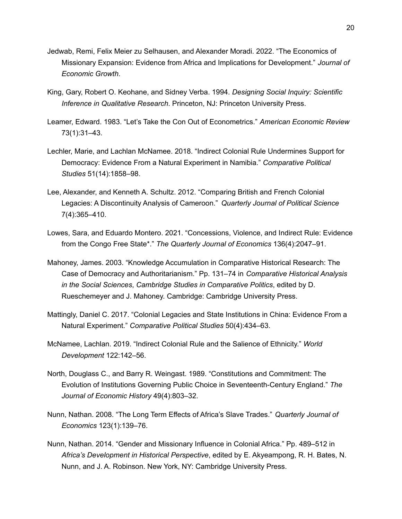- Jedwab, Remi, Felix Meier zu Selhausen, and Alexander Moradi. 2022. "The Economics of Missionary Expansion: Evidence from Africa and Implications for Development." *Journal of Economic Growth*.
- King, Gary, Robert O. Keohane, and Sidney Verba. 1994. *Designing Social Inquiry: Scientific Inference in Qualitative Research*. Princeton, NJ: Princeton University Press.
- Leamer, Edward. 1983. "Let's Take the Con Out of Econometrics." *American Economic Review* 73(1):31–43.
- Lechler, Marie, and Lachlan McNamee. 2018. "Indirect Colonial Rule Undermines Support for Democracy: Evidence From a Natural Experiment in Namibia." *Comparative Political Studies* 51(14):1858–98.
- Lee, Alexander, and Kenneth A. Schultz. 2012. "Comparing British and French Colonial Legacies: A Discontinuity Analysis of Cameroon." *Quarterly Journal of Political Science* 7(4):365–410.
- Lowes, Sara, and Eduardo Montero. 2021. "Concessions, Violence, and Indirect Rule: Evidence from the Congo Free State\*." *The Quarterly Journal of Economics* 136(4):2047–91.
- Mahoney, James. 2003. "Knowledge Accumulation in Comparative Historical Research: The Case of Democracy and Authoritarianism." Pp. 131–74 in *Comparative Historical Analysis in the Social Sciences*, *Cambridge Studies in Comparative Politics*, edited by D. Rueschemeyer and J. Mahoney. Cambridge: Cambridge University Press.
- Mattingly, Daniel C. 2017. "Colonial Legacies and State Institutions in China: Evidence From a Natural Experiment." *Comparative Political Studies* 50(4):434–63.
- McNamee, Lachlan. 2019. "Indirect Colonial Rule and the Salience of Ethnicity." *World Development* 122:142–56.
- North, Douglass C., and Barry R. Weingast. 1989. "Constitutions and Commitment: The Evolution of Institutions Governing Public Choice in Seventeenth-Century England." *The Journal of Economic History* 49(4):803–32.
- Nunn, Nathan. 2008. "The Long Term Effects of Africa's Slave Trades." *Quarterly Journal of Economics* 123(1):139–76.
- Nunn, Nathan. 2014. "Gender and Missionary Influence in Colonial Africa." Pp. 489–512 in *Africa's Development in Historical Perspective*, edited by E. Akyeampong, R. H. Bates, N. Nunn, and J. A. Robinson. New York, NY: Cambridge University Press.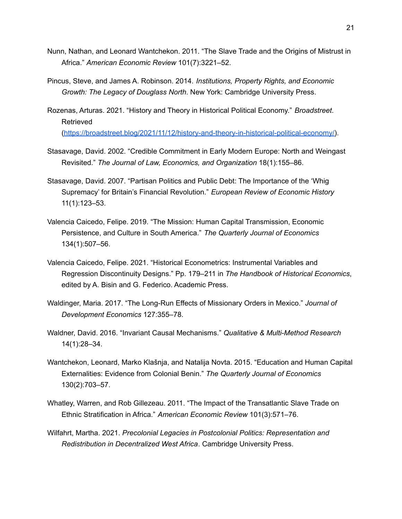- Nunn, Nathan, and Leonard Wantchekon. 2011. "The Slave Trade and the Origins of Mistrust in Africa." *American Economic Review* 101(7):3221–52.
- Pincus, Steve, and James A. Robinson. 2014. *Institutions, Property Rights, and Economic Growth: The Legacy of Douglass North*. New York: Cambridge University Press.
- Rozenas, Arturas. 2021. "History and Theory in Historical Political Economy." *Broadstreet*. Retrieved [\(https://broadstreet.blog/2021/11/12/history-and-theory-in-historical-political-economy/\)](https://broadstreet.blog/2021/11/12/history-and-theory-in-historical-political-economy/).
- Stasavage, David. 2002. "Credible Commitment in Early Modern Europe: North and Weingast Revisited." *The Journal of Law, Economics, and Organization* 18(1):155–86.
- Stasavage, David. 2007. "Partisan Politics and Public Debt: The Importance of the 'Whig Supremacy' for Britain's Financial Revolution." *European Review of Economic History* 11(1):123–53.
- Valencia Caicedo, Felipe. 2019. "The Mission: Human Capital Transmission, Economic Persistence, and Culture in South America." *The Quarterly Journal of Economics* 134(1):507–56.
- Valencia Caicedo, Felipe. 2021. "Historical Econometrics: Instrumental Variables and Regression Discontinuity Designs." Pp. 179–211 in *The Handbook of Historical Economics*, edited by A. Bisin and G. Federico. Academic Press.
- Waldinger, Maria. 2017. "The Long-Run Effects of Missionary Orders in Mexico." *Journal of Development Economics* 127:355–78.
- Waldner, David. 2016. "Invariant Causal Mechanisms." *Qualitative & Multi-Method Research* 14(1):28–34.
- Wantchekon, Leonard, Marko Klašnja, and Natalija Novta. 2015. "Education and Human Capital Externalities: Evidence from Colonial Benin." *The Quarterly Journal of Economics* 130(2):703–57.
- Whatley, Warren, and Rob Gillezeau. 2011. "The Impact of the Transatlantic Slave Trade on Ethnic Stratification in Africa." *American Economic Review* 101(3):571–76.
- Wilfahrt, Martha. 2021. *Precolonial Legacies in Postcolonial Politics: Representation and Redistribution in Decentralized West Africa*. Cambridge University Press.